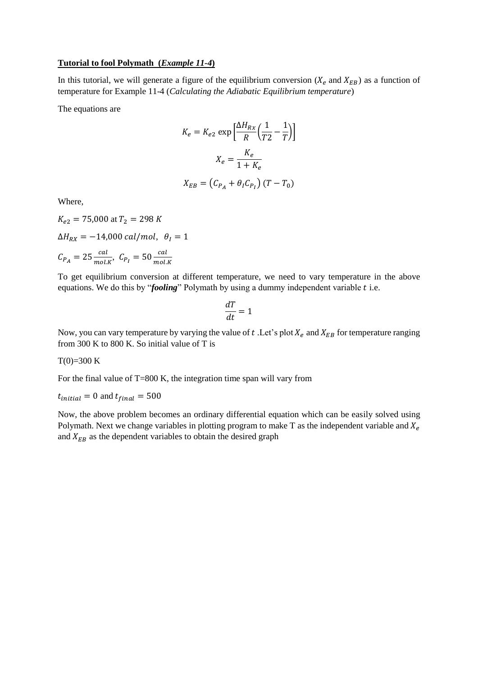## **Tutorial to fool Polymath (***Example 11-4***)**

In this tutorial, we will generate a figure of the equilibrium conversion ( $X_e$  and  $X_{EB}$ ) as a function of temperature for Example 11-4 (*Calculating the Adiabatic Equilibrium temperature*)

The equations are

$$
K_e = K_{e2} \exp\left[\frac{\Delta H_{Rx}}{R} \left(\frac{1}{T2} - \frac{1}{T}\right)\right]
$$

$$
X_e = \frac{K_e}{1 + K_e}
$$

$$
X_{EB} = \left(C_{P_A} + \theta_I C_{P_I}\right)(T - T_0)
$$

Where,

 $K_{e2}$  = 75,000 at  $T_2$  = 298 K  $\Delta H_{RX} = -14,000 \; cal/mol, \; \theta_I = 1$  $C_{P_A} = 25 \frac{cal}{mol.K}, C_{P_I} = 50 \frac{cal}{mol.K}$ 

To get equilibrium conversion at different temperature, we need to vary temperature in the above equations. We do this by "*fooling*" Polymath by using a dummy independent variable *t* i.e.

$$
\frac{dT}{dt} = 1
$$

Now, you can vary temperature by varying the value of t. Let's plot  $X_e$  and  $X_{EB}$  for temperature ranging from 300 K to 800 K. So initial value of T is

## $T(0)=300 K$

For the final value of T=800 K, the integration time span will vary from

 $t_{initial} = 0$  and  $t_{final} = 500$ 

Now, the above problem becomes an ordinary differential equation which can be easily solved using Polymath. Next we change variables in plotting program to make T as the independent variable and  $X_e$ and  $X_{EB}$  as the dependent variables to obtain the desired graph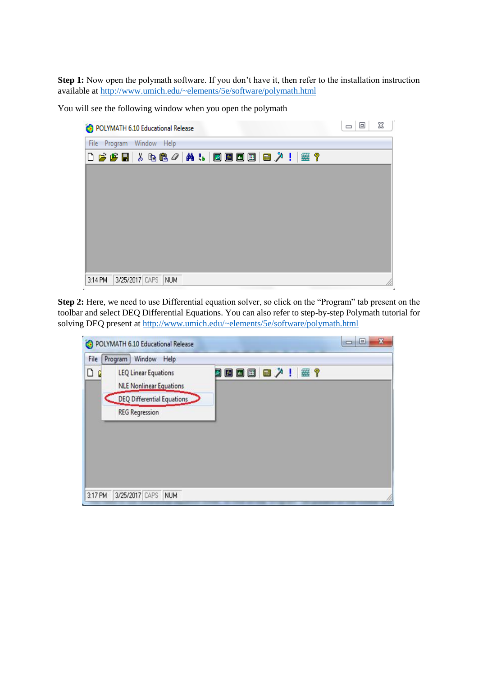**Step 1:** Now open the polymath software. If you don't have it, then refer to the installation instruction available at<http://www.umich.edu/~elements/5e/software/polymath.html>

You will see the following window when you open the polymath

|              | POLYMATH 6.10 Educational Release                                                                                                                                                                                                             |                |     |  |  |  |  | $\Box$<br>$\Box$ | ⅏ |
|--------------|-----------------------------------------------------------------------------------------------------------------------------------------------------------------------------------------------------------------------------------------------|----------------|-----|--|--|--|--|------------------|---|
| File Program |                                                                                                                                                                                                                                               | Window Help    |     |  |  |  |  |                  |   |
|              | $\left\lceil \frac{1}{2}\right\rceil$ . $\left\lceil \frac{1}{2}\right\rceil$ . $\left\lceil \frac{1}{2}\right\rceil$ . $\left\lceil \frac{1}{2}\right\rceil$ . $\left\lceil \frac{1}{2}\right\rceil$ . $\left\lceil \frac{1}{2}\right\rceil$ |                |     |  |  |  |  |                  |   |
|              |                                                                                                                                                                                                                                               |                |     |  |  |  |  |                  |   |
|              |                                                                                                                                                                                                                                               |                |     |  |  |  |  |                  |   |
|              |                                                                                                                                                                                                                                               |                |     |  |  |  |  |                  |   |
|              |                                                                                                                                                                                                                                               |                |     |  |  |  |  |                  |   |
|              |                                                                                                                                                                                                                                               |                |     |  |  |  |  |                  |   |
|              |                                                                                                                                                                                                                                               |                |     |  |  |  |  |                  |   |
|              |                                                                                                                                                                                                                                               |                |     |  |  |  |  |                  |   |
|              |                                                                                                                                                                                                                                               |                |     |  |  |  |  |                  |   |
| 3:14 PM      |                                                                                                                                                                                                                                               | 3/25/2017 CAPS | NUM |  |  |  |  |                  |   |

**Step 2:** Here, we need to use Differential equation solver, so click on the "Program" tab present on the toolbar and select DEQ Differential Equations. You can also refer to step-by-step Polymath tutorial for solving DEQ present a[t http://www.umich.edu/~elements/5e/software/polymath.html](http://www.umich.edu/~elements/5e/software/polymath.html)

| File | Window<br>Program<br>Help                                     |          |  |
|------|---------------------------------------------------------------|----------|--|
| ◘    | <b>LEQ Linear Equations</b><br><b>NLE Nonlinear Equations</b> | 0000人!每? |  |
|      | DEQ Differential Equations                                    |          |  |
|      | <b>REG Regression</b>                                         |          |  |
|      |                                                               |          |  |
|      |                                                               |          |  |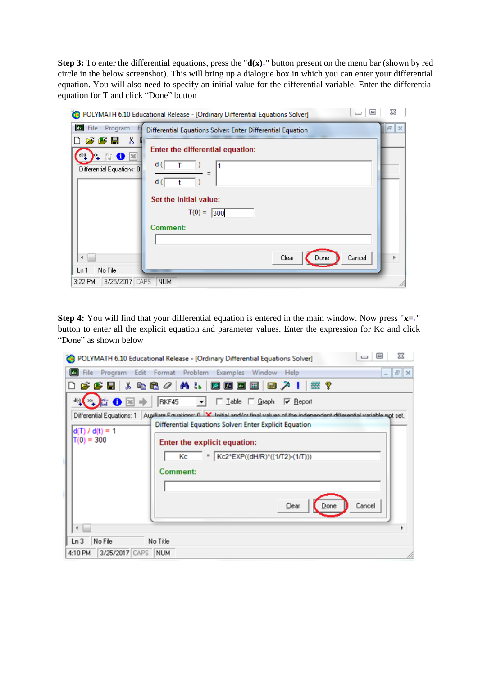**Step 3:** To enter the differential equations, press the "**d(x)+**" button present on the menu bar (shown by red circle in the below screenshot). This will bring up a dialogue box in which you can enter your differential equation. You will also need to specify an initial value for the differential variable. Enter the differential equation for T and click "Done" button

|                                                                                                                             | $\Box$<br>$\equiv$<br>POLYMATH 6.10 Educational Release - [Ordinary Differential Equations Solver] | X        |
|-----------------------------------------------------------------------------------------------------------------------------|----------------------------------------------------------------------------------------------------|----------|
| u.<br>Program<br>File                                                                                                       | Differential Equations Solver: Enter Differential Equation                                         | 日<br>l x |
| $\boldsymbol{\beta}$ $\boldsymbol{\beta}$ define<br>' ക<br>D<br>▒ ❶ 图<br>તહી<br>$\mathbf{v}_+$<br>Differential Equations: 0 | Enter the differential equation:<br>d(<br>1                                                        |          |
|                                                                                                                             | d (l<br>Set the initial value:                                                                     |          |
|                                                                                                                             | $T(0) = 300$                                                                                       |          |
|                                                                                                                             | <b>Comment:</b>                                                                                    |          |
| ∢                                                                                                                           | Clear<br>Cancel<br>Done                                                                            | Þ        |
| No File<br>Ln 1                                                                                                             |                                                                                                    |          |
| 3/25/2017<br>3:22 PM                                                                                                        | CAPS<br><b>NUM</b>                                                                                 |          |

**Step 4:** You will find that your differential equation is entered in the main window. Now press "**x=+**" button to enter all the explicit equation and parameter values. Enter the expression for Kc and click "Done" as shown below

| X<br>$\Box$<br>POLYMATH 6.10 Educational Release - [Ordinary Differential Equations Solver]                                                                                                                                                                                                                                                           |
|-------------------------------------------------------------------------------------------------------------------------------------------------------------------------------------------------------------------------------------------------------------------------------------------------------------------------------------------------------|
| File Program Edit Format Problem Examples Window Help<br>$ \sigma$ $\times$                                                                                                                                                                                                                                                                           |
| 668 X & & 0   A &   0 0 0 0   0   X<br>塞?                                                                                                                                                                                                                                                                                                             |
| <b>EO M</b><br>RKF45 - Lable C Graph V Report<br>તણ[×⊧                                                                                                                                                                                                                                                                                                |
| Differential Equations: 1 Augustan Fountione: 0 X Initial and/or final values of the independent differential variable not set.<br>Differential Equations Solver: Enter Explicit Equation<br>$d(T) / d(t) = 1$<br>$T(0) = 300$<br>Enter the explicit equation:<br>=   Kc2*EXP((dH/R)*((1/T2)-(1/T)))<br>Кc<br><b>Comment:</b><br>Cancel<br>Clear<br>∢ |
| No File<br>Ln <sub>3</sub><br>No Title                                                                                                                                                                                                                                                                                                                |
| 3/25/2017 CAPS<br>NUM<br>4:10 PM                                                                                                                                                                                                                                                                                                                      |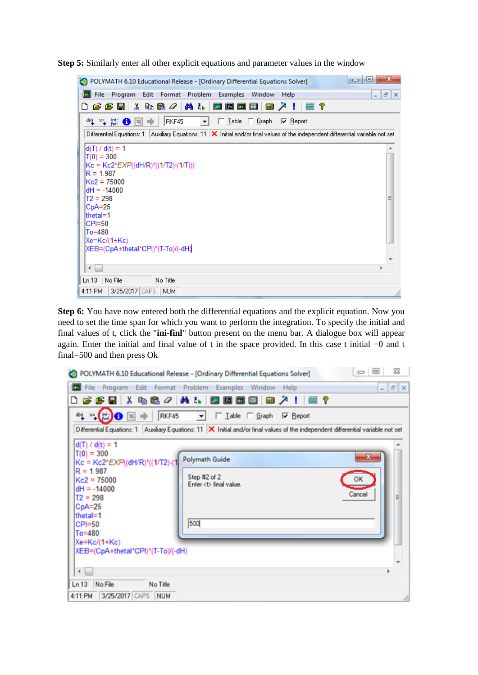**Step 5:** Similarly enter all other explicit equations and parameter values in the window



**Step 6:** You have now entered both the differential equations and the explicit equation. Now you need to set the time span for which you want to perform the integration. To specify the initial and final values of t, click the "**ini-finl**" button present on the menu bar. A dialogue box will appear again. Enter the initial and final value of t in the space provided. In this case t initial =0 and t final=500 and then press Ok

|                                                                                                                                                                           | POLYMATH 6.10 Educational Release - [Ordinary Differential Equations Solver]                                                           | X<br>▣<br>$\Rightarrow$ |
|---------------------------------------------------------------------------------------------------------------------------------------------------------------------------|----------------------------------------------------------------------------------------------------------------------------------------|-------------------------|
|                                                                                                                                                                           | File Program Edit Format Problem Examples Window Help                                                                                  | $ B$ $x$                |
| D                                                                                                                                                                         | GSB & QC/ALDDDB B/! #?                                                                                                                 |                         |
|                                                                                                                                                                           |                                                                                                                                        |                         |
|                                                                                                                                                                           | Differential Equations: 1   Auxiliary Equations: 11   X   Initial and/or final values of the independent differential variable not set |                         |
| $d(T) / d(t) = 1$                                                                                                                                                         |                                                                                                                                        |                         |
| $T(0) = 300$<br>Kc = Kc2*EXP((dH/R)*((1/T2)-(1<br>$R = 1.987$<br>$Kc2 = 75000$<br>$dH = -14000$<br>$T2 = 298$<br>$CpA=25$<br>thetal=1<br>CPI=50<br>To=480<br>Xe=Kc/(1+Kc) | <b>Polymath Guide</b><br>Step #2 of 2<br>Enter <b final="" value.<br="">500</b>                                                        | ×<br>Cancel<br>≝        |
| XEB=(CpA+thetal*CPI)*(T-To)/(-dH)<br>$\leftarrow$                                                                                                                         |                                                                                                                                        |                         |
| Ln 13 No File<br>No Title<br>3/25/2017 CAPS NUM<br>4:11 PM                                                                                                                |                                                                                                                                        |                         |
|                                                                                                                                                                           |                                                                                                                                        |                         |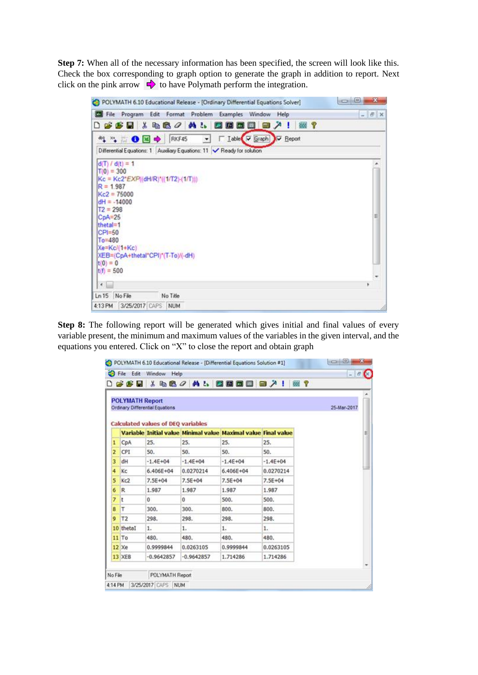**Step 7:** When all of the necessary information has been specified, the screen will look like this. Check the box corresponding to graph option to generate the graph in addition to report. Next click on the pink arrow  $\Rightarrow$  to have Polymath perform the integration.

| Cu File Program Edit Format Problem<br>Examples Window<br>Help                                           | $ E$ $\times$ |
|----------------------------------------------------------------------------------------------------------|---------------|
| $D$ $\boldsymbol{\beta}$ $\boldsymbol{\beta}$ is a consequent to $\boldsymbol{\beta}$<br>国国国<br>国国入!医?   |               |
| I Table IV Graph IV Beport<br>** 1 ● N → RKF45<br>$\bullet$                                              |               |
| Differential Equations: 1 Auxiliary Equations: 11 / Ready for solution                                   |               |
| $d(T)/d(t) = 1$<br>$T(0) = 300$<br>$Kc = Kc2*EXP((dH/R)^*(1/T2)+(1/T)))$<br>$R = 1.987$<br>$Kc2 = 75000$ |               |
| $dH = -14000$<br>$T2 = 298$<br>$CpA=25$<br>thetal=1<br>$CP1=50$<br>$To = 480$<br>Xe=Kc/(1+Kc)            | E             |
| XEB=(CpA+thetal*CPI)*(T-To)/(-dH)<br>$t(0) = 0$                                                          |               |
| $t(f) = 500$                                                                                             |               |
| $\leftarrow$                                                                                             | ٠             |

**Step 8:** The following report will be generated which gives initial and final values of every variable present, the minimum and maximum values of the variables in the given interval, and the equations you entered. Click on "X" to close the report and obtain graph

| 480 人员 网络西西西人 医人名<br>œ.<br>Variable Initial value Minimal value Maximal value Final value<br>CpA<br>25.<br>25.<br>25.<br>25.<br>ı<br>2<br>CPI<br>50.<br>50.<br>50.<br>50.<br>3<br>$-1.4E + 04$<br>$-1.4E + 04$<br>$-1.4E + 04$<br>$-1.4E + 04$<br>dH<br>Kc<br>0.0270214<br>4<br>$6,406E+04$<br>6.406E+04<br>0.0270214<br>5<br>Kc2<br>7.5E+04<br>$7.5E + 04$<br>7.5E+04<br>$7.5E + 04$<br>R<br>1.987<br>1.987<br>1.987<br>1.987<br>б<br>500.<br>7<br>0<br>500.<br>t<br>0<br>T<br>300.<br>300.<br>800.<br>800.<br>T <sub>2</sub><br>298.<br>298.<br>298.<br>298.<br>9<br>1.<br>1.<br>1.<br>1.<br>480.<br>480.<br>480.<br>480.<br>0.9999844<br>0.0263105<br>0.9999844<br>0.0263105<br>$-0.9642857$<br>$-0.9642857$<br>1.714286<br>1.714286<br>POLYMATH Report |                                                                                                        | G H | S File Edit Window Help<br>$\mathbf{x}$ |  |  | u |
|------------------------------------------------------------------------------------------------------------------------------------------------------------------------------------------------------------------------------------------------------------------------------------------------------------------------------------------------------------------------------------------------------------------------------------------------------------------------------------------------------------------------------------------------------------------------------------------------------------------------------------------------------------------------------------------------------------------------------------------------------------|--------------------------------------------------------------------------------------------------------|-----|-----------------------------------------|--|--|---|
| 8<br>10 thetal<br>$11$ To<br>$12 \times e$<br>13 XEB                                                                                                                                                                                                                                                                                                                                                                                                                                                                                                                                                                                                                                                                                                       |                                                                                                        |     |                                         |  |  |   |
|                                                                                                                                                                                                                                                                                                                                                                                                                                                                                                                                                                                                                                                                                                                                                            | <b>POLYMATH Report</b><br>Ordinary Differential Equations<br><b>Calculated values of DEQ variables</b> |     | 25-Mar-2017                             |  |  |   |
|                                                                                                                                                                                                                                                                                                                                                                                                                                                                                                                                                                                                                                                                                                                                                            |                                                                                                        |     |                                         |  |  |   |
|                                                                                                                                                                                                                                                                                                                                                                                                                                                                                                                                                                                                                                                                                                                                                            |                                                                                                        |     |                                         |  |  |   |
|                                                                                                                                                                                                                                                                                                                                                                                                                                                                                                                                                                                                                                                                                                                                                            |                                                                                                        |     |                                         |  |  |   |
|                                                                                                                                                                                                                                                                                                                                                                                                                                                                                                                                                                                                                                                                                                                                                            |                                                                                                        |     |                                         |  |  |   |
|                                                                                                                                                                                                                                                                                                                                                                                                                                                                                                                                                                                                                                                                                                                                                            |                                                                                                        |     |                                         |  |  |   |
|                                                                                                                                                                                                                                                                                                                                                                                                                                                                                                                                                                                                                                                                                                                                                            |                                                                                                        |     |                                         |  |  |   |
|                                                                                                                                                                                                                                                                                                                                                                                                                                                                                                                                                                                                                                                                                                                                                            |                                                                                                        |     |                                         |  |  |   |
|                                                                                                                                                                                                                                                                                                                                                                                                                                                                                                                                                                                                                                                                                                                                                            |                                                                                                        |     |                                         |  |  |   |
|                                                                                                                                                                                                                                                                                                                                                                                                                                                                                                                                                                                                                                                                                                                                                            |                                                                                                        |     |                                         |  |  |   |
|                                                                                                                                                                                                                                                                                                                                                                                                                                                                                                                                                                                                                                                                                                                                                            |                                                                                                        |     |                                         |  |  |   |
|                                                                                                                                                                                                                                                                                                                                                                                                                                                                                                                                                                                                                                                                                                                                                            |                                                                                                        |     |                                         |  |  |   |
|                                                                                                                                                                                                                                                                                                                                                                                                                                                                                                                                                                                                                                                                                                                                                            |                                                                                                        |     |                                         |  |  |   |
|                                                                                                                                                                                                                                                                                                                                                                                                                                                                                                                                                                                                                                                                                                                                                            |                                                                                                        |     |                                         |  |  |   |
|                                                                                                                                                                                                                                                                                                                                                                                                                                                                                                                                                                                                                                                                                                                                                            |                                                                                                        |     |                                         |  |  |   |
|                                                                                                                                                                                                                                                                                                                                                                                                                                                                                                                                                                                                                                                                                                                                                            |                                                                                                        |     |                                         |  |  |   |
| No File                                                                                                                                                                                                                                                                                                                                                                                                                                                                                                                                                                                                                                                                                                                                                    |                                                                                                        |     |                                         |  |  |   |
|                                                                                                                                                                                                                                                                                                                                                                                                                                                                                                                                                                                                                                                                                                                                                            |                                                                                                        |     |                                         |  |  |   |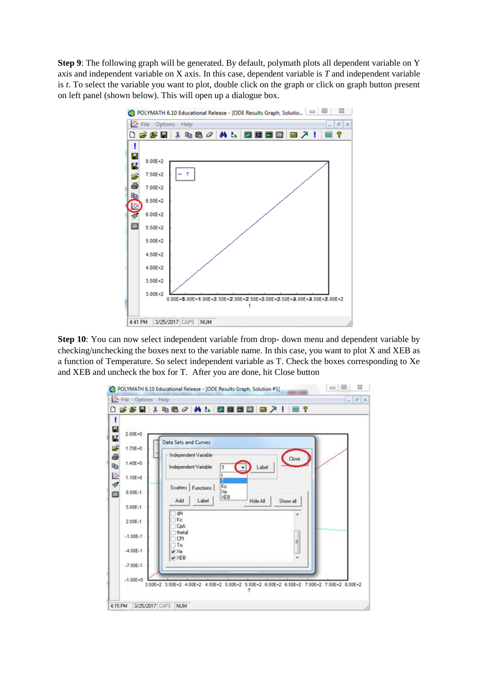**Step 9**: The following graph will be generated. By default, polymath plots all dependent variable on Y axis and independent variable on X axis. In this case, dependent variable is *T* and independent variable is *t*. To select the variable you want to plot, double click on the graph or click on graph button present on left panel (shown below). This will open up a dialogue box.



**Step 10**: You can now select independent variable from drop- down menu and dependent variable by checking/unchecking the boxes next to the variable name. In this case, you want to plot X and XEB as a function of Temperature. So select independent variable as T. Check the boxes corresponding to Xe and XEB and uncheck the box for T. After you are done, hit Close button

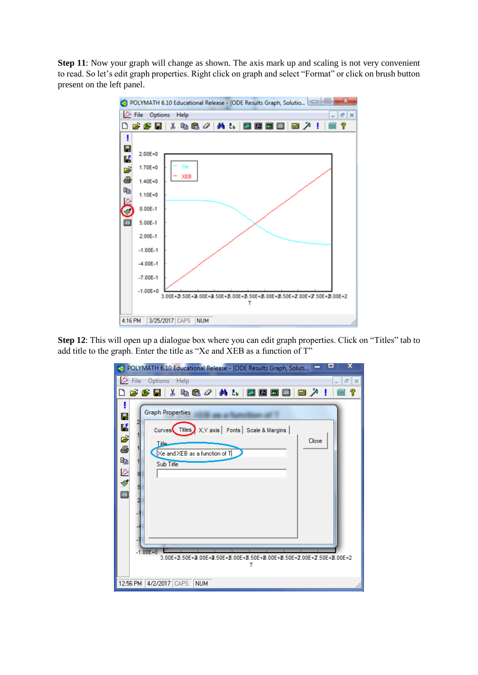**Step 11**: Now your graph will change as shown. The axis mark up and scaling is not very convenient to read. So let's edit graph properties. Right click on graph and select "Format" or click on brush button present on the left panel.



**Step 12**: This will open up a dialogue box where you can edit graph properties. Click on "Titles" tab to add title to the graph. Enter the title as "Xe and XEB as a function of T"

| x<br><b>CO</b><br>POLYMATH 6.10 Educational Release - [ODE Results Graph, Soluti                                                                                                                                                                                                |
|---------------------------------------------------------------------------------------------------------------------------------------------------------------------------------------------------------------------------------------------------------------------------------|
| ⊘<br>Options Help<br>File<br>Ð<br>$\times$                                                                                                                                                                                                                                      |
| G & H & & & 0   M &<br>$\blacksquare$ $\blacksquare$ $\blacksquare$<br>■ 入<br>?<br>箠                                                                                                                                                                                            |
| <b>Graph Properties</b><br>Ч<br>Ľ<br>Curves Titles X, Y axis   Fonts   Scale & Margins  <br>ಕ<br>Close<br>Title<br>s<br>Xe and XEB as a function of T<br>þb<br>Sub Title<br>H<br>$-1.00E + 0$<br>3.00E+2.50E+2.00E+2.00E+2.50E+2.00E+2.50E+2.00E+2.50E+2.00E+2.50E+2.00E+2<br>т |
| 12:56 PM<br>4/2/2017 CAPS<br><b>NUM</b>                                                                                                                                                                                                                                         |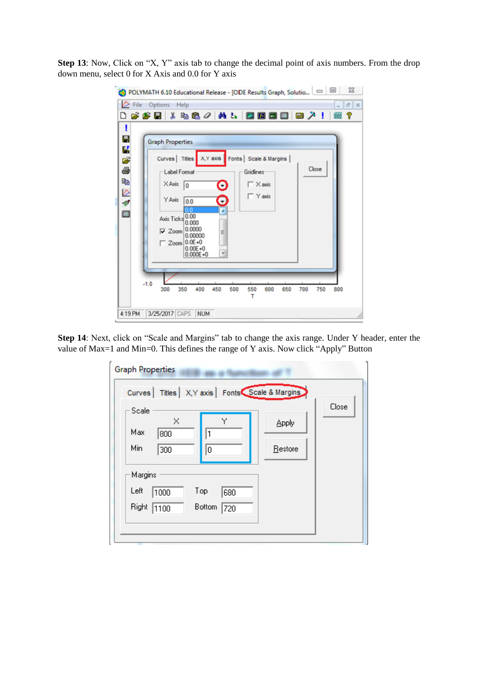**Step 13**: Now, Click on "X, Y" axis tab to change the decimal point of axis numbers. From the drop down menu, select 0 for X Axis and 0.0 for Y axis

|                |        | File Options Help       |                              |                          |              |           |     |           |                         |                                 |     |       | F X    |
|----------------|--------|-------------------------|------------------------------|--------------------------|--------------|-----------|-----|-----------|-------------------------|---------------------------------|-----|-------|--------|
|                |        |                         |                              |                          |              |           |     |           |                         | 0 6 6 5 6 % & 6 4 6 6 6 6 6 6 7 |     | ч     | P<br>₩ |
| ı              |        |                         |                              |                          |              |           |     |           |                         |                                 |     |       |        |
| Η              |        | <b>Graph Properties</b> |                              |                          |              |           |     |           |                         |                                 |     |       |        |
| <b>SP 65</b>   |        |                         |                              | Curves Titles            | X, Y axis    |           |     |           | Fonts   Scale & Margins |                                 |     |       |        |
|                |        |                         |                              |                          |              |           |     |           |                         |                                 |     | Close |        |
|                |        |                         |                              | Label Format             |              |           |     | Gridlines |                         |                                 |     |       |        |
| q,             |        |                         | X Axis                       | 10                       |              | O         |     |           | $\Gamma$ $\times$ axis  |                                 |     |       |        |
| ø,             |        |                         | Y Axis                       | 0.0                      |              | $\bullet$ |     |           | $\Gamma$ Y axis         |                                 |     |       |        |
| $\blacksquare$ |        |                         |                              |                          |              | ٠         |     |           |                         |                                 |     |       |        |
|                |        |                         |                              | Axis Ticks 0.00<br>0.000 |              |           |     |           |                         |                                 |     |       |        |
|                |        |                         | $\overline{\mathbf{v}}$ Zoom | 0.0000<br>0.00000        |              | E         |     |           |                         |                                 |     |       |        |
|                |        |                         |                              | $\Box$ Zoom 0.0E+0       |              |           |     |           |                         |                                 |     |       |        |
|                |        |                         |                              | $0.00E + 0$              | $0.000E + 0$ |           |     |           |                         |                                 |     |       |        |
|                |        |                         |                              |                          |              |           |     |           |                         |                                 |     |       |        |
|                |        |                         |                              |                          |              |           |     |           |                         |                                 |     |       |        |
|                | $-1.0$ | 300                     |                              | 350                      | 400          | 450       | 500 | 550       | 600                     | 650                             | 700 | 750   | 800    |
|                |        |                         |                              |                          |              |           |     | т         |                         |                                 |     |       |        |

**Step 14**: Next, click on "Scale and Margins" tab to change the axis range. Under Y header, enter the value of Max=1 and Min=0. This defines the range of Y axis. Now click "Apply" Button

| <b>Graph Properties</b>                                                        |                  |       |
|--------------------------------------------------------------------------------|------------------|-------|
| Titles   X, Y axis   Fonts Scale & Margins<br><b>Curves</b>                    |                  |       |
| Scale<br>Υ<br>×<br>Max<br>800<br>1<br>Min<br>300<br>0                          | Apply<br>Restore | Close |
| Margins<br>Left<br>Top<br>1000<br>680<br>Right<br><b>Bottom</b><br>1100<br>720 |                  |       |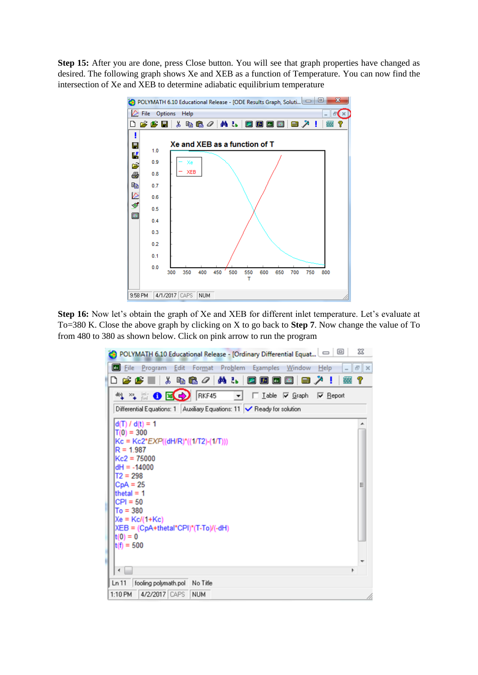**Step 15:** After you are done, press Close button. You will see that graph properties have changed as desired. The following graph shows Xe and XEB as a function of Temperature. You can now find the intersection of Xe and XEB to determine adiabatic equilibrium temperature



**Step 16:** Now let's obtain the graph of Xe and XEB for different inlet temperature. Let's evaluate at To=380 K. Close the above graph by clicking on X to go back to **Step 7**. Now change the value of To from 480 to 380 as shown below. Click on pink arrow to run the program

| POLYMATH 6.10 Educational Release - [Ordinary Differential Equat                                                                                                                                                                                                                                    | $\Sigma$<br>▣ |
|-----------------------------------------------------------------------------------------------------------------------------------------------------------------------------------------------------------------------------------------------------------------------------------------------------|---------------|
| Program Edit Format Problem Examples Window Help<br><b>Ed File</b>                                                                                                                                                                                                                                  | F X           |
| D 2 2 5 1 3 1 1 1 2 2 2 4 3 4<br>2 五 四 囲<br>画入<br>٠                                                                                                                                                                                                                                                 | T<br>- 1<br>巌 |
| 4 % 6 区→ RKF45<br>□ Iable 区 Graph 区 Report<br>▾                                                                                                                                                                                                                                                     |               |
| Differential Equations: 1   Auxiliary Equations: 11   ▶ Ready for solution                                                                                                                                                                                                                          |               |
| $d(T) / d(t) = 1$<br>$T(0) = 300$<br>$Kc = Kc2*EXP((dH/R)*(1/T2)-(1/T)))$<br>$R = 1.987$<br>$Kc2 = 75000$<br>$dH = -14000$<br>$T2 = 298$<br>$CpA = 25$<br>thetal = $1$<br>$ CP  = 50$<br>$To = 380$<br>$Xe = Kc/(1+Kc)$<br>XEB = (CpA+thetal*CPI)*(T-To)/(-dH)<br>$ t(0)  = 0$<br>$t(f) = 500$<br>н | Ξ             |
| $\leftarrow$                                                                                                                                                                                                                                                                                        |               |
| fooling polymath.pol<br>Ln 11<br>No Title                                                                                                                                                                                                                                                           |               |
| 4/2/2017 CAPS<br><b>NUM</b><br>1:10 PM                                                                                                                                                                                                                                                              |               |